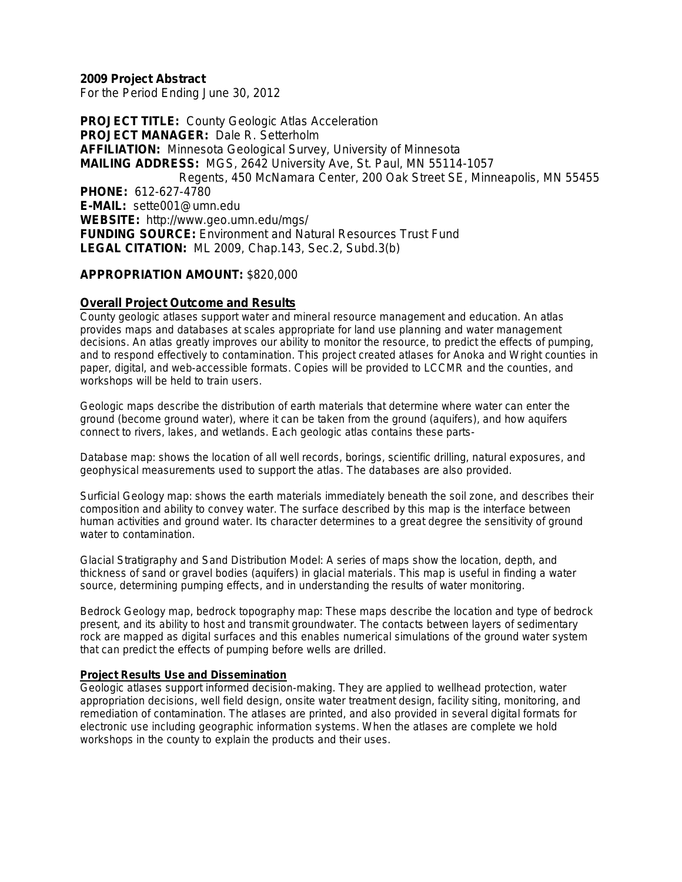**2009 Project Abstract** For the Period Ending June 30, 2012

**PROJECT TITLE: County Geologic Atlas Acceleration PROJECT MANAGER:** Dale R. Setterholm **AFFILIATION:** Minnesota Geological Survey, University of Minnesota **MAILING ADDRESS:** MGS, 2642 University Ave, St. Paul, MN 55114-1057 Regents, 450 McNamara Center, 200 Oak Street SE, Minneapolis, MN 55455 **PHONE:** 612-627-4780 **E-MAIL:** sette001@umn.edu **WEBSITE:** http://www.geo.umn.edu/mgs/ **FUNDING SOURCE:** Environment and Natural Resources Trust Fund **LEGAL CITATION:** ML 2009, Chap.143, Sec.2, Subd.3(b)

### **APPROPRIATION AMOUNT:** \$820,000

### **Overall Project Outcome and Results**

County geologic atlases support water and mineral resource management and education. An atlas provides maps and databases at scales appropriate for land use planning and water management decisions. An atlas greatly improves our ability to monitor the resource, to predict the effects of pumping, and to respond effectively to contamination. This project created atlases for Anoka and Wright counties in paper, digital, and web-accessible formats. Copies will be provided to LCCMR and the counties, and workshops will be held to train users.

Geologic maps describe the distribution of earth materials that determine where water can enter the ground (become ground water), where it can be taken from the ground (aquifers), and how aquifers connect to rivers, lakes, and wetlands. Each geologic atlas contains these parts-

Database map: shows the location of all well records, borings, scientific drilling, natural exposures, and geophysical measurements used to support the atlas. The databases are also provided.

Surficial Geology map: shows the earth materials immediately beneath the soil zone, and describes their composition and ability to convey water. The surface described by this map is the interface between human activities and ground water. Its character determines to a great degree the sensitivity of ground water to contamination.

Glacial Stratigraphy and Sand Distribution Model: A series of maps show the location, depth, and thickness of sand or gravel bodies (aquifers) in glacial materials. This map is useful in finding a water source, determining pumping effects, and in understanding the results of water monitoring.

Bedrock Geology map, bedrock topography map: These maps describe the location and type of bedrock present, and its ability to host and transmit groundwater. The contacts between layers of sedimentary rock are mapped as digital surfaces and this enables numerical simulations of the ground water system that can predict the effects of pumping before wells are drilled.

#### **Project Results Use and Dissemination**

Geologic atlases support informed decision-making. They are applied to wellhead protection, water appropriation decisions, well field design, onsite water treatment design, facility siting, monitoring, and remediation of contamination. The atlases are printed, and also provided in several digital formats for electronic use including geographic information systems. When the atlases are complete we hold workshops in the county to explain the products and their uses.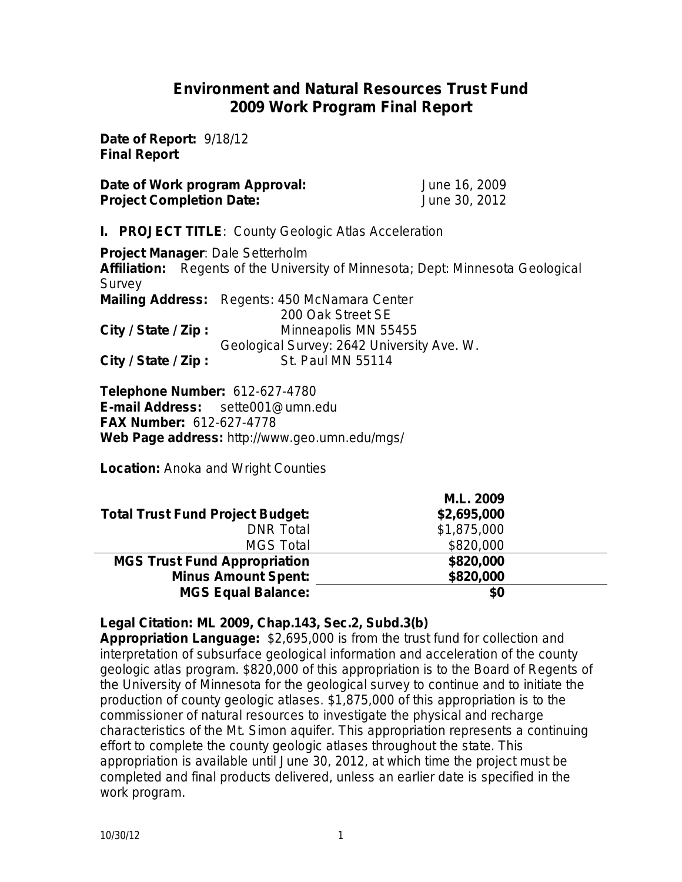## **Environment and Natural Resources Trust Fund 2009 Work Program Final Report**

**Date of Report:** 9/18/12 **Final Report**

**Date of Work program Approval:** June 16, 2009 **Project Completion Date:** June 30, 2012

**I. PROJECT TITLE**: County Geologic Atlas Acceleration

**Project Manager**: Dale Setterholm **Affiliation:** Regents of the University of Minnesota; Dept: Minnesota Geological Survey **Mailing Address:** Regents: 450 McNamara Center 200 Oak Street SE **City / State / Zip :** Minneapolis MN 55455 Geological Survey: 2642 University Ave. W. **City / State / Zip:** St. Paul MN 55114

**Telephone Number:** 612-627-4780 **E-mail Address:** sette001@umn.edu **FAX Number:** 612-627-4778 **Web Page address:** http://www.geo.umn.edu/mgs/

**Location:** Anoka and Wright Counties

|                                         | M.L. 2009   |  |
|-----------------------------------------|-------------|--|
| <b>Total Trust Fund Project Budget:</b> | \$2,695,000 |  |
| <b>DNR</b> Total                        | \$1,875,000 |  |
| <b>MGS Total</b>                        | \$820,000   |  |
| <b>MGS Trust Fund Appropriation</b>     | \$820,000   |  |
| <b>Minus Amount Spent:</b>              | \$820,000   |  |
| <b>MGS Equal Balance:</b>               | \$0         |  |

**Legal Citation: ML 2009, Chap.143, Sec.2, Subd.3(b)**

**Appropriation Language:**\$2,695,000 is from the trust fund for collection and interpretation of subsurface geological information and acceleration of the county geologic atlas program. \$820,000 of this appropriation is to the Board of Regents of the University of Minnesota for the geological survey to continue and to initiate the production of county geologic atlases. \$1,875,000 of this appropriation is to the commissioner of natural resources to investigate the physical and recharge characteristics of the Mt. Simon aquifer. This appropriation represents a continuing effort to complete the county geologic atlases throughout the state. This appropriation is available until June 30, 2012, at which time the project must be completed and final products delivered, unless an earlier date is specified in the work program.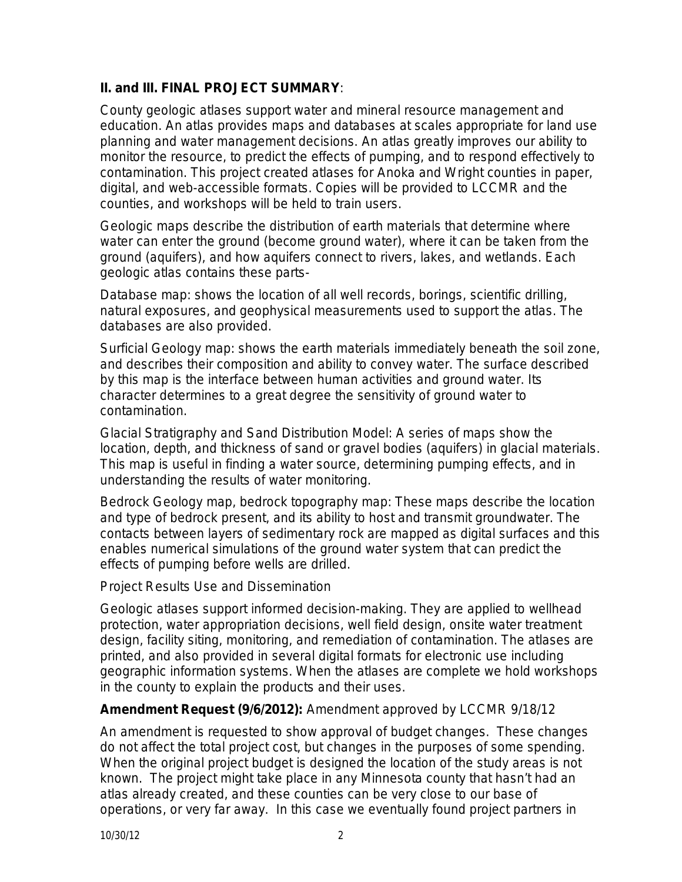## **II. and III. FINAL PROJECT SUMMARY**:

County geologic atlases support water and mineral resource management and education. An atlas provides maps and databases at scales appropriate for land use planning and water management decisions. An atlas greatly improves our ability to monitor the resource, to predict the effects of pumping, and to respond effectively to contamination. This project created atlases for Anoka and Wright counties in paper, digital, and web-accessible formats. Copies will be provided to LCCMR and the counties, and workshops will be held to train users.

Geologic maps describe the distribution of earth materials that determine where water can enter the ground (become ground water), where it can be taken from the ground (aquifers), and how aquifers connect to rivers, lakes, and wetlands. Each geologic atlas contains these parts-

*Database map*: shows the location of all well records, borings, scientific drilling, natural exposures, and geophysical measurements used to support the atlas. The databases are also provided.

*Surficial Geology map*: shows the earth materials immediately beneath the soil zone, and describes their composition and ability to convey water. The surface described by this map is the interface between human activities and ground water. Its character determines to a great degree the sensitivity of ground water to contamination.

*Glacial Stratigraphy and Sand Distribution Model*: A series of maps show the location, depth, and thickness of sand or gravel bodies (aquifers) in glacial materials. This map is useful in finding a water source, determining pumping effects, and in understanding the results of water monitoring.

*Bedrock Geology map, bedrock topography map*: These maps describe the location and type of bedrock present, and its ability to host and transmit groundwater. The contacts between layers of sedimentary rock are mapped as digital surfaces and this enables numerical simulations of the ground water system that can predict the effects of pumping before wells are drilled.

### *Project Results Use and Dissemination*

Geologic atlases support informed decision-making. They are applied to wellhead protection, water appropriation decisions, well field design, onsite water treatment design, facility siting, monitoring, and remediation of contamination. The atlases are printed, and also provided in several digital formats for electronic use including geographic information systems. When the atlases are complete we hold workshops in the county to explain the products and their uses.

### **Amendment Request (9/6/2012):** Amendment approved by LCCMR 9/18/12

An amendment is requested to show approval of budget changes. These changes do not affect the total project cost, but changes in the purposes of some spending. When the original project budget is designed the location of the study areas is not known. The project might take place in any Minnesota county that hasn't had an atlas already created, and these counties can be very close to our base of operations, or very far away. In this case we eventually found project partners in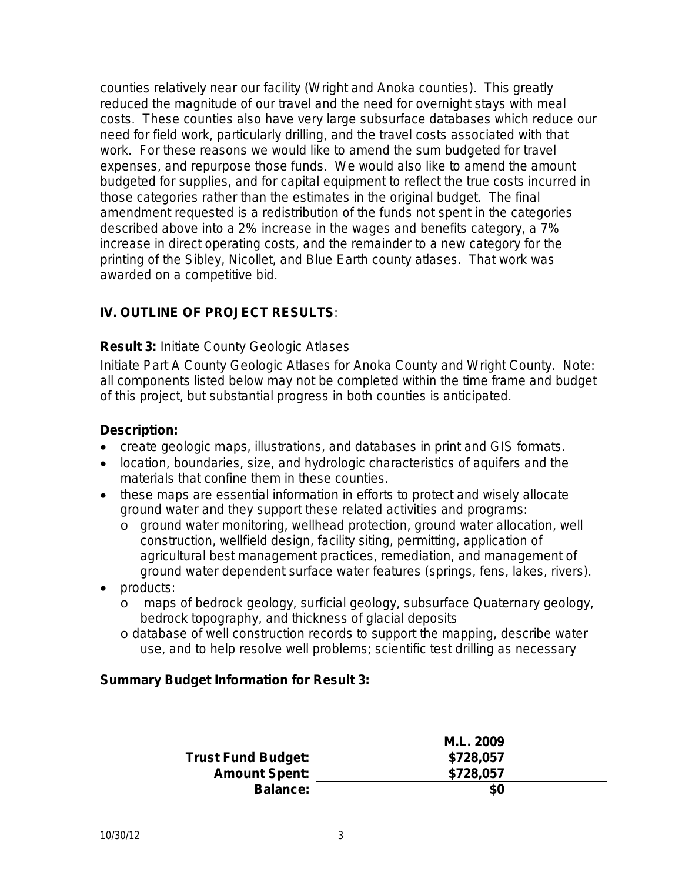counties relatively near our facility (Wright and Anoka counties). This greatly reduced the magnitude of our travel and the need for overnight stays with meal costs. These counties also have very large subsurface databases which reduce our need for field work, particularly drilling, and the travel costs associated with that work. For these reasons we would like to amend the sum budgeted for travel expenses, and repurpose those funds. We would also like to amend the amount budgeted for supplies, and for capital equipment to reflect the true costs incurred in those categories rather than the estimates in the original budget. The final amendment requested is a redistribution of the funds not spent in the categories described above into a 2% increase in the wages and benefits category, a 7% increase in direct operating costs, and the remainder to a new category for the printing of the Sibley, Nicollet, and Blue Earth county atlases. That work was awarded on a competitive bid.

## **IV. OUTLINE OF PROJECT RESULTS***:*

### **Result 3:** Initiate County Geologic Atlases

Initiate Part A County Geologic Atlases for Anoka County and Wright County. Note: all components listed below may not be completed within the time frame and budget of this project, but substantial progress in both counties is anticipated.

### **Description:**

- create geologic maps, illustrations, and databases in print and GIS formats.
- location, boundaries, size, and hydrologic characteristics of aquifers and the materials that confine them in these counties.
- these maps are essential information in efforts to protect and wisely allocate ground water and they support these related activities and programs:
	- o ground water monitoring, wellhead protection, ground water allocation, well construction, wellfield design, facility siting, permitting, application of agricultural best management practices, remediation, and management of ground water dependent surface water features (springs, fens, lakes, rivers).
- products:
	- o maps of bedrock geology, surficial geology, subsurface Quaternary geology, bedrock topography, and thickness of glacial deposits
	- o database of well construction records to support the mapping, describe water use, and to help resolve well problems; scientific test drilling as necessary

### **Summary Budget Information for Result 3:**

|                           | M.L. 2009 |
|---------------------------|-----------|
| <b>Trust Fund Budget:</b> | \$728,057 |
| <b>Amount Spent:</b>      | \$728,057 |
| <b>Balance:</b>           | \$0       |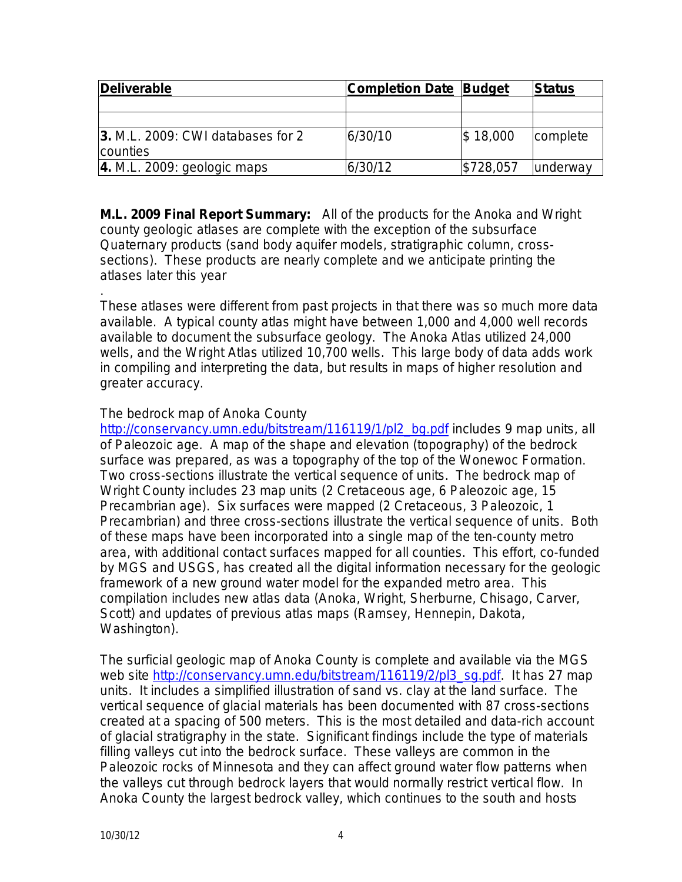| Deliverable                                   | <b>Completion Date Budget</b> |              | Status          |  |
|-----------------------------------------------|-------------------------------|--------------|-----------------|--|
|                                               |                               |              |                 |  |
|                                               |                               |              |                 |  |
| 3. M.L. 2009: CWI databases for 2<br>counties | 6/30/10                       | $\$\,18,000$ | complete        |  |
| $ 4. M.L. 2009$ : geologic maps               | 6/30/12                       | \$728,057    | <b>underway</b> |  |

**M.L. 2009 Final Report Summary:** All of the products for the Anoka and Wright county geologic atlases are complete with the exception of the subsurface Quaternary products (sand body aquifer models, stratigraphic column, crosssections). These products are nearly complete and we anticipate printing the atlases later this year

. These atlases were different from past projects in that there was so much more data available. A typical county atlas might have between 1,000 and 4,000 well records available to document the subsurface geology. The Anoka Atlas utilized 24,000 wells, and the Wright Atlas utilized 10,700 wells. This large body of data adds work in compiling and interpreting the data, but results in maps of higher resolution and greater accuracy.

## The bedrock map of Anoka County

[http://conservancy.umn.edu/bitstream/116119/1/pl2\\_bg.pdf](http://conservancy.umn.edu/bitstream/116119/1/pl2_bg.pdf) includes 9 map units, all of Paleozoic age. A map of the shape and elevation (topography) of the bedrock surface was prepared, as was a topography of the top of the Wonewoc Formation. Two cross-sections illustrate the vertical sequence of units. The bedrock map of Wright County includes 23 map units (2 Cretaceous age, 6 Paleozoic age, 15 Precambrian age). Six surfaces were mapped (2 Cretaceous, 3 Paleozoic, 1 Precambrian) and three cross-sections illustrate the vertical sequence of units. Both of these maps have been incorporated into a single map of the ten-county metro area, with additional contact surfaces mapped for all counties. This effort, co-funded by MGS and USGS, has created all the digital information necessary for the geologic framework of a new ground water model for the expanded metro area. This compilation includes new atlas data (Anoka, Wright, Sherburne, Chisago, Carver, Scott) and updates of previous atlas maps (Ramsey, Hennepin, Dakota, Washington).

The surficial geologic map of Anoka County is complete and available via the MGS web site [http://conservancy.umn.edu/bitstream/116119/2/pl3\\_sg.pdf.](http://conservancy.umn.edu/bitstream/116119/2/pl3_sg.pdf) It has 27 map units. It includes a simplified illustration of sand vs. clay at the land surface. The vertical sequence of glacial materials has been documented with 87 cross-sections created at a spacing of 500 meters. This is the most detailed and data-rich account of glacial stratigraphy in the state. Significant findings include the type of materials filling valleys cut into the bedrock surface. These valleys are common in the Paleozoic rocks of Minnesota and they can affect ground water flow patterns when the valleys cut through bedrock layers that would normally restrict vertical flow. In Anoka County the largest bedrock valley, which continues to the south and hosts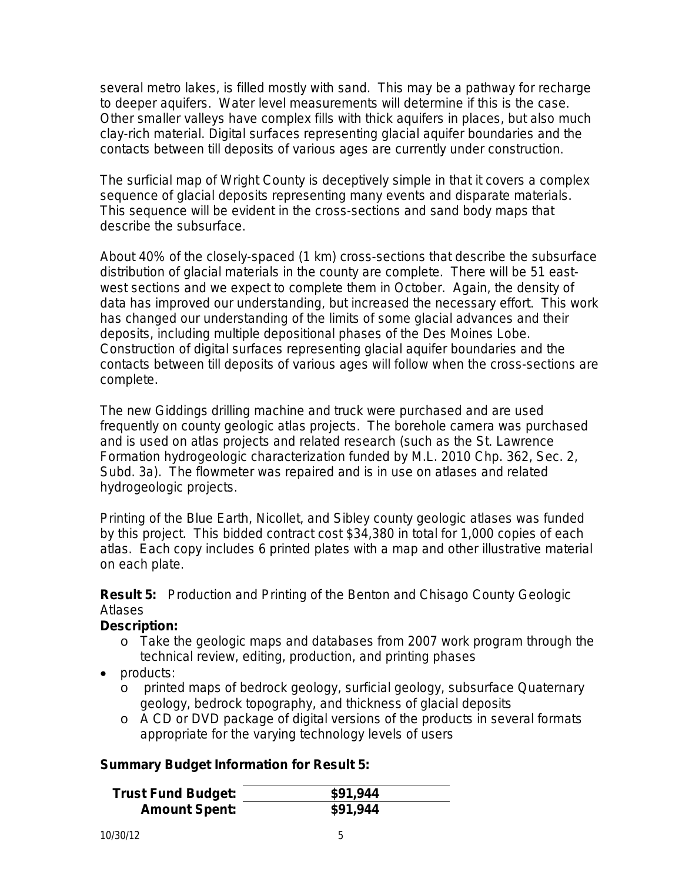several metro lakes, is filled mostly with sand. This may be a pathway for recharge to deeper aquifers. Water level measurements will determine if this is the case. Other smaller valleys have complex fills with thick aquifers in places, but also much clay-rich material. Digital surfaces representing glacial aquifer boundaries and the contacts between till deposits of various ages are currently under construction.

The surficial map of Wright County is deceptively simple in that it covers a complex sequence of glacial deposits representing many events and disparate materials. This sequence will be evident in the cross-sections and sand body maps that describe the subsurface.

About 40% of the closely-spaced (1 km) cross-sections that describe the subsurface distribution of glacial materials in the county are complete. There will be 51 eastwest sections and we expect to complete them in October. Again, the density of data has improved our understanding, but increased the necessary effort. This work has changed our understanding of the limits of some glacial advances and their deposits, including multiple depositional phases of the Des Moines Lobe. Construction of digital surfaces representing glacial aquifer boundaries and the contacts between till deposits of various ages will follow when the cross-sections are complete.

The new Giddings drilling machine and truck were purchased and are used frequently on county geologic atlas projects. The borehole camera was purchased and is used on atlas projects and related research (such as the St. Lawrence Formation hydrogeologic characterization funded by M.L. 2010 Chp. 362, Sec. 2, Subd. 3a). The flowmeter was repaired and is in use on atlases and related hydrogeologic projects.

Printing of the Blue Earth, Nicollet, and Sibley county geologic atlases was funded by this project. This bidded contract cost \$34,380 in total for 1,000 copies of each atlas. Each copy includes 6 printed plates with a map and other illustrative material on each plate.

**Result 5:** Production and Printing of the Benton and Chisago County Geologic Atlases

## **Description:**

- o Take the geologic maps and databases from 2007 work program through the technical review, editing, production, and printing phases
- products:
	- o printed maps of bedrock geology, surficial geology, subsurface Quaternary geology, bedrock topography, and thickness of glacial deposits
	- o A CD or DVD package of digital versions of the products in several formats appropriate for the varying technology levels of users

## **Summary Budget Information for Result 5:**

| <b>Trust Fund Budget:</b> | \$91,944 |
|---------------------------|----------|
| <b>Amount Spent:</b>      | \$91,944 |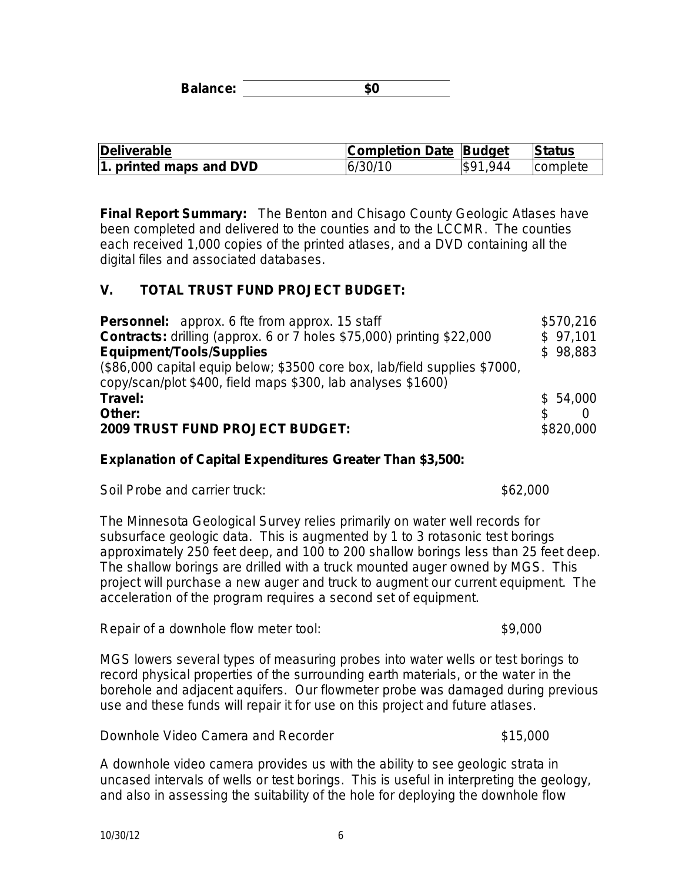**Balance: \$0**

| Deliverable             | <b>Completion Date Budget</b> |          | <b>Status</b>   |
|-------------------------|-------------------------------|----------|-----------------|
| 1. printed maps and DVD | 6/30/10                       | \$91.944 | <b>complete</b> |

**Final Report Summary:** The Benton and Chisago County Geologic Atlases have been completed and delivered to the counties and to the LCCMR. The counties each received 1,000 copies of the printed atlases, and a DVD containing all the digital files and associated databases.

### **V. TOTAL TRUST FUND PROJECT BUDGET:**

| <b>Personnel:</b> approx. 6 fte from approx. 15 staff                                                                                      | \$570,216 |
|--------------------------------------------------------------------------------------------------------------------------------------------|-----------|
| <b>Contracts:</b> drilling (approx. 6 or 7 holes \$75,000) printing \$22,000                                                               | \$97,101  |
| <b>Equipment/Tools/Supplies</b>                                                                                                            | \$98,883  |
| (\$86,000 capital equip below; \$3500 core box, lab/field supplies \$7000,<br>copy/scan/plot \$400, field maps \$300, lab analyses \$1600) |           |
| Travel:                                                                                                                                    | \$54,000  |
| Other:                                                                                                                                     | £.        |
| <b>2009 TRUST FUND PROJECT BUDGET:</b>                                                                                                     | \$820,000 |

### **Explanation of Capital Expenditures Greater Than \$3,500:**

| Soil Probe and carrier truck: | \$62,000 |
|-------------------------------|----------|
|-------------------------------|----------|

The Minnesota Geological Survey relies primarily on water well records for subsurface geologic data. This is augmented by 1 to 3 rotasonic test borings approximately 250 feet deep, and 100 to 200 shallow borings less than 25 feet deep. The shallow borings are drilled with a truck mounted auger owned by MGS. This project will purchase a new auger and truck to augment our current equipment. The acceleration of the program requires a second set of equipment.

Repair of a downhole flow meter tool: \$9,000

MGS lowers several types of measuring probes into water wells or test borings to record physical properties of the surrounding earth materials, or the water in the borehole and adjacent aquifers. Our flowmeter probe was damaged during previous use and these funds will repair it for use on this project and future atlases.

Downhole Video Camera and Recorder **\$15,000** \$15,000

A downhole video camera provides us with the ability to see geologic strata in uncased intervals of wells or test borings. This is useful in interpreting the geology, and also in assessing the suitability of the hole for deploying the downhole flow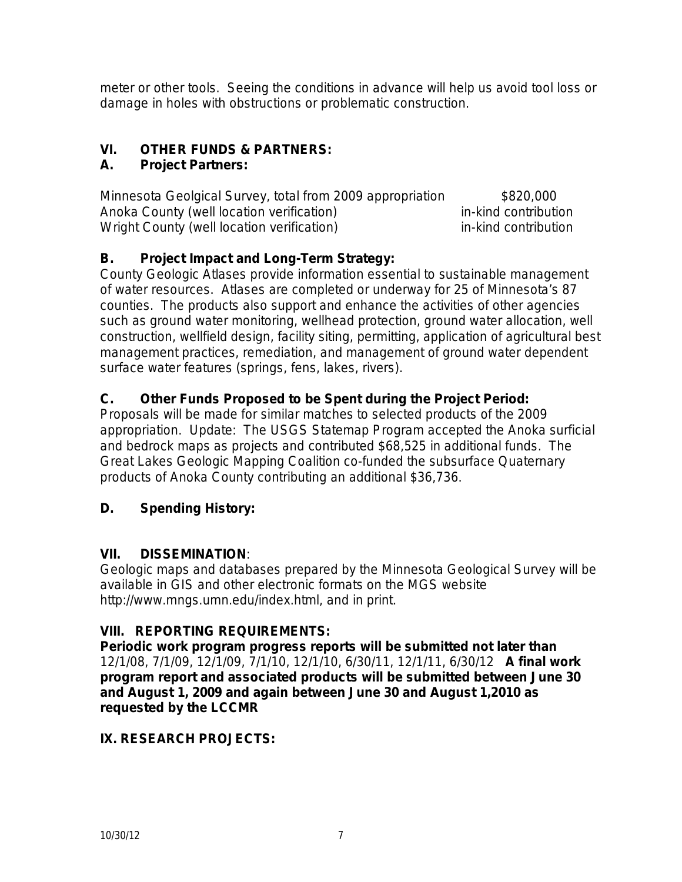meter or other tools. Seeing the conditions in advance will help us avoid tool loss or damage in holes with obstructions or problematic construction.

# **VI. OTHER FUNDS & PARTNERS:**

## **A. Project Partners:**

Minnesota Geolgical Survey, total from 2009 appropriation \$820,000 Anoka County (well location verification) in-kind contribution Wright County (well location verification) in-kind contribution

# **B. Project Impact and Long-Term Strategy:**

County Geologic Atlases provide information essential to sustainable management of water resources. Atlases are completed or underway for 25 of Minnesota's 87 counties. The products also support and enhance the activities of other agencies such as ground water monitoring, wellhead protection, ground water allocation, well construction, wellfield design, facility siting, permitting, application of agricultural best management practices, remediation, and management of ground water dependent surface water features (springs, fens, lakes, rivers).

## **C. Other Funds Proposed to be Spent during the Project Period:**

Proposals will be made for similar matches to selected products of the 2009 appropriation. Update: The USGS Statemap Program accepted the Anoka surficial and bedrock maps as projects and contributed \$68,525 in additional funds. The Great Lakes Geologic Mapping Coalition co-funded the subsurface Quaternary products of Anoka County contributing an additional \$36,736.

## **D. Spending History:**

## **VII. DISSEMINATION**:

Geologic maps and databases prepared by the Minnesota Geological Survey will be available in GIS and other electronic formats on the MGS website http://www.mngs.umn.edu/index.html, and in print.

# **VIII. REPORTING REQUIREMENTS:**

**Periodic work program progress reports will be submitted not later than**  12/1/08, 7/1/09, 12/1/09, 7/1/10, 12/1/10, 6/30/11, 12/1/11, 6/30/12 **A final work program report and associated products will be submitted between June 30 and August 1, 2009 and again between June 30 and August 1,2010 as requested by the LCCMR**

## **IX. RESEARCH PROJECTS:**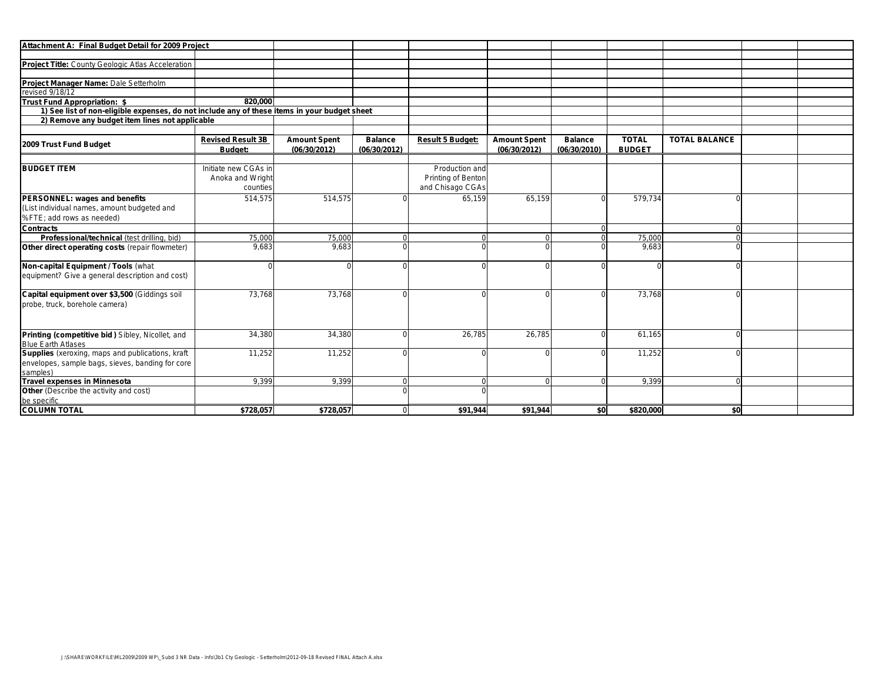| Project Title: County Geologic Atlas Acceleration<br>Project Manager Name: Dale Setterholm<br>revised 9/18/12<br>Trust Fund Appropriation: \$<br>820.000<br>1) See list of non-eligible expenses, do not include any of these items in your budget sheet<br>2) Remove any budget item lines not applicable<br><b>TOTAL BALANCE</b><br><b>Revised Result 3B</b><br><b>TOTAL</b><br><b>Amount Spent</b><br><b>Balance</b><br><b>Result 5 Budget:</b><br><b>Amount Spent</b><br><b>Balance</b><br>2009 Trust Fund Budget<br><b>BUDGET</b><br>Budget:<br>(06/30/2012)<br>(06/30/2012)<br>(06/30/2012)<br>(06/30/2010)<br>Initiate new CGAs in<br>Production and<br>Anoka and Wright<br>Printing of Benton<br>and Chisago CGAs<br>counties<br>514,575<br>514,575<br>65,159<br>65,159<br>579,734<br>PERSONNEL: wages and benefits<br>0<br>(List individual names, amount budgeted and<br>%FTE; add rows as needed)<br><b>Contracts</b><br>75,000<br>75,000<br>75,000<br>Professional/technical (test drilling, bid)<br>$\Omega$<br>9,683<br>9,683<br>9,683<br>Other direct operating costs (repair flowmeter)<br>$\Omega$<br>$\Omega$<br>$\Omega$<br>73,768<br>73,768<br>73,768<br>Capital equipment over \$3,500 (Giddings soil<br>$\Omega$<br>$\Omega$<br>26,785<br>34,380<br>34,380<br>26,785<br>61,165<br>Printing (competitive bid) Sibley, Nicollet, and<br>∩<br><b>Blue Earth Atlases</b><br>Supplies (xeroxing, maps and publications, kraft<br>11,252<br>11,252<br>11,252<br>$\Omega$<br>envelopes, sample bags, sieves, banding for core<br>samples)<br>9,399<br>9,399<br>9,399<br>$\mathbf 0$<br>$\Omega$<br>$\Omega$<br>Other (Describe the activity and cost)<br>$\Omega$<br>be specific | Attachment A: Final Budget Detail for 2009 Project |  |  |  |  |  |
|-------------------------------------------------------------------------------------------------------------------------------------------------------------------------------------------------------------------------------------------------------------------------------------------------------------------------------------------------------------------------------------------------------------------------------------------------------------------------------------------------------------------------------------------------------------------------------------------------------------------------------------------------------------------------------------------------------------------------------------------------------------------------------------------------------------------------------------------------------------------------------------------------------------------------------------------------------------------------------------------------------------------------------------------------------------------------------------------------------------------------------------------------------------------------------------------------------------------------------------------------------------------------------------------------------------------------------------------------------------------------------------------------------------------------------------------------------------------------------------------------------------------------------------------------------------------------------------------------------------------------------------------------------------------------------------------------|----------------------------------------------------|--|--|--|--|--|
|                                                                                                                                                                                                                                                                                                                                                                                                                                                                                                                                                                                                                                                                                                                                                                                                                                                                                                                                                                                                                                                                                                                                                                                                                                                                                                                                                                                                                                                                                                                                                                                                                                                                                                 |                                                    |  |  |  |  |  |
|                                                                                                                                                                                                                                                                                                                                                                                                                                                                                                                                                                                                                                                                                                                                                                                                                                                                                                                                                                                                                                                                                                                                                                                                                                                                                                                                                                                                                                                                                                                                                                                                                                                                                                 |                                                    |  |  |  |  |  |
|                                                                                                                                                                                                                                                                                                                                                                                                                                                                                                                                                                                                                                                                                                                                                                                                                                                                                                                                                                                                                                                                                                                                                                                                                                                                                                                                                                                                                                                                                                                                                                                                                                                                                                 |                                                    |  |  |  |  |  |
|                                                                                                                                                                                                                                                                                                                                                                                                                                                                                                                                                                                                                                                                                                                                                                                                                                                                                                                                                                                                                                                                                                                                                                                                                                                                                                                                                                                                                                                                                                                                                                                                                                                                                                 |                                                    |  |  |  |  |  |
|                                                                                                                                                                                                                                                                                                                                                                                                                                                                                                                                                                                                                                                                                                                                                                                                                                                                                                                                                                                                                                                                                                                                                                                                                                                                                                                                                                                                                                                                                                                                                                                                                                                                                                 |                                                    |  |  |  |  |  |
|                                                                                                                                                                                                                                                                                                                                                                                                                                                                                                                                                                                                                                                                                                                                                                                                                                                                                                                                                                                                                                                                                                                                                                                                                                                                                                                                                                                                                                                                                                                                                                                                                                                                                                 |                                                    |  |  |  |  |  |
|                                                                                                                                                                                                                                                                                                                                                                                                                                                                                                                                                                                                                                                                                                                                                                                                                                                                                                                                                                                                                                                                                                                                                                                                                                                                                                                                                                                                                                                                                                                                                                                                                                                                                                 |                                                    |  |  |  |  |  |
|                                                                                                                                                                                                                                                                                                                                                                                                                                                                                                                                                                                                                                                                                                                                                                                                                                                                                                                                                                                                                                                                                                                                                                                                                                                                                                                                                                                                                                                                                                                                                                                                                                                                                                 |                                                    |  |  |  |  |  |
|                                                                                                                                                                                                                                                                                                                                                                                                                                                                                                                                                                                                                                                                                                                                                                                                                                                                                                                                                                                                                                                                                                                                                                                                                                                                                                                                                                                                                                                                                                                                                                                                                                                                                                 |                                                    |  |  |  |  |  |
|                                                                                                                                                                                                                                                                                                                                                                                                                                                                                                                                                                                                                                                                                                                                                                                                                                                                                                                                                                                                                                                                                                                                                                                                                                                                                                                                                                                                                                                                                                                                                                                                                                                                                                 |                                                    |  |  |  |  |  |
|                                                                                                                                                                                                                                                                                                                                                                                                                                                                                                                                                                                                                                                                                                                                                                                                                                                                                                                                                                                                                                                                                                                                                                                                                                                                                                                                                                                                                                                                                                                                                                                                                                                                                                 |                                                    |  |  |  |  |  |
|                                                                                                                                                                                                                                                                                                                                                                                                                                                                                                                                                                                                                                                                                                                                                                                                                                                                                                                                                                                                                                                                                                                                                                                                                                                                                                                                                                                                                                                                                                                                                                                                                                                                                                 |                                                    |  |  |  |  |  |
|                                                                                                                                                                                                                                                                                                                                                                                                                                                                                                                                                                                                                                                                                                                                                                                                                                                                                                                                                                                                                                                                                                                                                                                                                                                                                                                                                                                                                                                                                                                                                                                                                                                                                                 | <b>BUDGET ITEM</b>                                 |  |  |  |  |  |
|                                                                                                                                                                                                                                                                                                                                                                                                                                                                                                                                                                                                                                                                                                                                                                                                                                                                                                                                                                                                                                                                                                                                                                                                                                                                                                                                                                                                                                                                                                                                                                                                                                                                                                 |                                                    |  |  |  |  |  |
|                                                                                                                                                                                                                                                                                                                                                                                                                                                                                                                                                                                                                                                                                                                                                                                                                                                                                                                                                                                                                                                                                                                                                                                                                                                                                                                                                                                                                                                                                                                                                                                                                                                                                                 |                                                    |  |  |  |  |  |
|                                                                                                                                                                                                                                                                                                                                                                                                                                                                                                                                                                                                                                                                                                                                                                                                                                                                                                                                                                                                                                                                                                                                                                                                                                                                                                                                                                                                                                                                                                                                                                                                                                                                                                 |                                                    |  |  |  |  |  |
|                                                                                                                                                                                                                                                                                                                                                                                                                                                                                                                                                                                                                                                                                                                                                                                                                                                                                                                                                                                                                                                                                                                                                                                                                                                                                                                                                                                                                                                                                                                                                                                                                                                                                                 |                                                    |  |  |  |  |  |
|                                                                                                                                                                                                                                                                                                                                                                                                                                                                                                                                                                                                                                                                                                                                                                                                                                                                                                                                                                                                                                                                                                                                                                                                                                                                                                                                                                                                                                                                                                                                                                                                                                                                                                 |                                                    |  |  |  |  |  |
|                                                                                                                                                                                                                                                                                                                                                                                                                                                                                                                                                                                                                                                                                                                                                                                                                                                                                                                                                                                                                                                                                                                                                                                                                                                                                                                                                                                                                                                                                                                                                                                                                                                                                                 |                                                    |  |  |  |  |  |
|                                                                                                                                                                                                                                                                                                                                                                                                                                                                                                                                                                                                                                                                                                                                                                                                                                                                                                                                                                                                                                                                                                                                                                                                                                                                                                                                                                                                                                                                                                                                                                                                                                                                                                 |                                                    |  |  |  |  |  |
|                                                                                                                                                                                                                                                                                                                                                                                                                                                                                                                                                                                                                                                                                                                                                                                                                                                                                                                                                                                                                                                                                                                                                                                                                                                                                                                                                                                                                                                                                                                                                                                                                                                                                                 |                                                    |  |  |  |  |  |
|                                                                                                                                                                                                                                                                                                                                                                                                                                                                                                                                                                                                                                                                                                                                                                                                                                                                                                                                                                                                                                                                                                                                                                                                                                                                                                                                                                                                                                                                                                                                                                                                                                                                                                 |                                                    |  |  |  |  |  |
|                                                                                                                                                                                                                                                                                                                                                                                                                                                                                                                                                                                                                                                                                                                                                                                                                                                                                                                                                                                                                                                                                                                                                                                                                                                                                                                                                                                                                                                                                                                                                                                                                                                                                                 | Non-capital Equipment / Tools (what                |  |  |  |  |  |
|                                                                                                                                                                                                                                                                                                                                                                                                                                                                                                                                                                                                                                                                                                                                                                                                                                                                                                                                                                                                                                                                                                                                                                                                                                                                                                                                                                                                                                                                                                                                                                                                                                                                                                 | equipment? Give a general description and cost)    |  |  |  |  |  |
|                                                                                                                                                                                                                                                                                                                                                                                                                                                                                                                                                                                                                                                                                                                                                                                                                                                                                                                                                                                                                                                                                                                                                                                                                                                                                                                                                                                                                                                                                                                                                                                                                                                                                                 |                                                    |  |  |  |  |  |
|                                                                                                                                                                                                                                                                                                                                                                                                                                                                                                                                                                                                                                                                                                                                                                                                                                                                                                                                                                                                                                                                                                                                                                                                                                                                                                                                                                                                                                                                                                                                                                                                                                                                                                 |                                                    |  |  |  |  |  |
|                                                                                                                                                                                                                                                                                                                                                                                                                                                                                                                                                                                                                                                                                                                                                                                                                                                                                                                                                                                                                                                                                                                                                                                                                                                                                                                                                                                                                                                                                                                                                                                                                                                                                                 | probe, truck, borehole camera)                     |  |  |  |  |  |
|                                                                                                                                                                                                                                                                                                                                                                                                                                                                                                                                                                                                                                                                                                                                                                                                                                                                                                                                                                                                                                                                                                                                                                                                                                                                                                                                                                                                                                                                                                                                                                                                                                                                                                 |                                                    |  |  |  |  |  |
|                                                                                                                                                                                                                                                                                                                                                                                                                                                                                                                                                                                                                                                                                                                                                                                                                                                                                                                                                                                                                                                                                                                                                                                                                                                                                                                                                                                                                                                                                                                                                                                                                                                                                                 |                                                    |  |  |  |  |  |
|                                                                                                                                                                                                                                                                                                                                                                                                                                                                                                                                                                                                                                                                                                                                                                                                                                                                                                                                                                                                                                                                                                                                                                                                                                                                                                                                                                                                                                                                                                                                                                                                                                                                                                 |                                                    |  |  |  |  |  |
|                                                                                                                                                                                                                                                                                                                                                                                                                                                                                                                                                                                                                                                                                                                                                                                                                                                                                                                                                                                                                                                                                                                                                                                                                                                                                                                                                                                                                                                                                                                                                                                                                                                                                                 |                                                    |  |  |  |  |  |
|                                                                                                                                                                                                                                                                                                                                                                                                                                                                                                                                                                                                                                                                                                                                                                                                                                                                                                                                                                                                                                                                                                                                                                                                                                                                                                                                                                                                                                                                                                                                                                                                                                                                                                 |                                                    |  |  |  |  |  |
|                                                                                                                                                                                                                                                                                                                                                                                                                                                                                                                                                                                                                                                                                                                                                                                                                                                                                                                                                                                                                                                                                                                                                                                                                                                                                                                                                                                                                                                                                                                                                                                                                                                                                                 |                                                    |  |  |  |  |  |
|                                                                                                                                                                                                                                                                                                                                                                                                                                                                                                                                                                                                                                                                                                                                                                                                                                                                                                                                                                                                                                                                                                                                                                                                                                                                                                                                                                                                                                                                                                                                                                                                                                                                                                 |                                                    |  |  |  |  |  |
|                                                                                                                                                                                                                                                                                                                                                                                                                                                                                                                                                                                                                                                                                                                                                                                                                                                                                                                                                                                                                                                                                                                                                                                                                                                                                                                                                                                                                                                                                                                                                                                                                                                                                                 | <b>Travel expenses in Minnesota</b>                |  |  |  |  |  |
|                                                                                                                                                                                                                                                                                                                                                                                                                                                                                                                                                                                                                                                                                                                                                                                                                                                                                                                                                                                                                                                                                                                                                                                                                                                                                                                                                                                                                                                                                                                                                                                                                                                                                                 |                                                    |  |  |  |  |  |
|                                                                                                                                                                                                                                                                                                                                                                                                                                                                                                                                                                                                                                                                                                                                                                                                                                                                                                                                                                                                                                                                                                                                                                                                                                                                                                                                                                                                                                                                                                                                                                                                                                                                                                 |                                                    |  |  |  |  |  |
| \$728,057<br>\$0<br>\$820,000<br>\$728,057<br>\$91,944<br>\$91,944<br>\$0<br>$\Omega$                                                                                                                                                                                                                                                                                                                                                                                                                                                                                                                                                                                                                                                                                                                                                                                                                                                                                                                                                                                                                                                                                                                                                                                                                                                                                                                                                                                                                                                                                                                                                                                                           | <b>COLUMN TOTAL</b>                                |  |  |  |  |  |